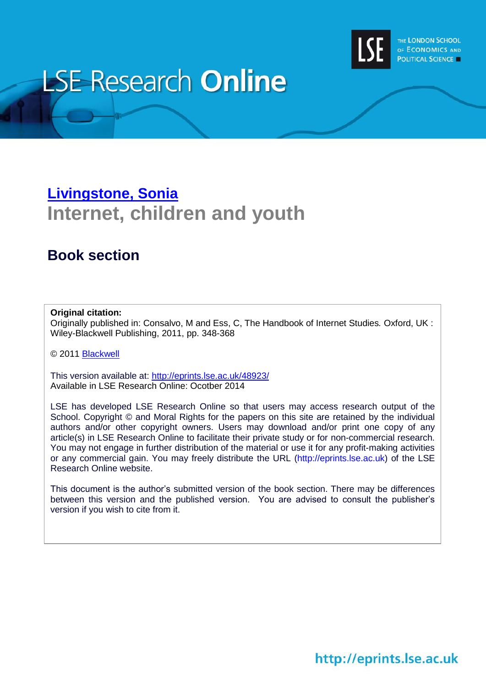

# **LSE Research Online**

## **[Livingstone, Sonia](http://www2.lse.ac.uk/researchAndExpertise/Experts/profile.aspx?KeyValue=s.livingstone@lse.ac.uk) Internet, children and youth**

## **Book section**

#### **Original citation:**

Originally published in: Consalvo, M and Ess, C, The Handbook of Internet Studies*.* Oxford, UK : Wiley-Blackwell Publishing, 2011, pp. 348-368

#### © 2011 [Blackwell](http://eu.wiley.com/WileyCDA/)

This version available at:<http://eprints.lse.ac.uk/48923/> Available in LSE Research Online: Ocotber 2014

LSE has developed LSE Research Online so that users may access research output of the School. Copyright © and Moral Rights for the papers on this site are retained by the individual authors and/or other copyright owners. Users may download and/or print one copy of any article(s) in LSE Research Online to facilitate their private study or for non-commercial research. You may not engage in further distribution of the material or use it for any profit-making activities or any commercial gain. You may freely distribute the URL (http://eprints.lse.ac.uk) of the LSE Research Online website.

This document is the author's submitted version of the book section. There may be differences between this version and the published version. You are advised to consult the publisher's version if you wish to cite from it.

## http://eprints.lse.ac.uk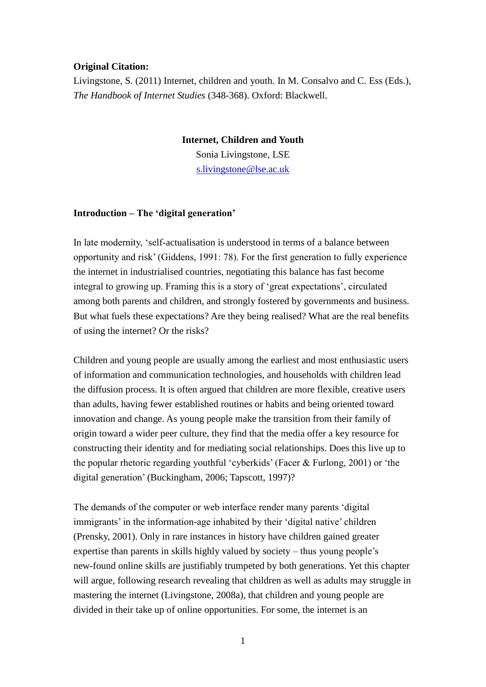#### **Original Citation:**

Livingstone, S. (2011) Internet, children and youth. In M. Consalvo and C. Ess (Eds.), *The Handbook of Internet Studies* (348-368). Oxford: Blackwell.

#### **Internet, Children and Youth**

Sonia Livingstone, LSE [s.livingstone@lse.ac.uk](mailto:s.livingstone@lse.ac.uk)

#### **Introduction – The 'digital generation'**

In late modernity, 'self-actualisation is understood in terms of a balance between opportunity and risk' (Giddens, 1991: 78). For the first generation to fully experience the internet in industrialised countries, negotiating this balance has fast become integral to growing up. Framing this is a story of 'great expectations', circulated among both parents and children, and strongly fostered by governments and business. But what fuels these expectations? Are they being realised? What are the real benefits of using the internet? Or the risks?

Children and young people are usually among the earliest and most enthusiastic users of information and communication technologies, and households with children lead the diffusion process. It is often argued that children are more flexible, creative users than adults, having fewer established routines or habits and being oriented toward innovation and change. As young people make the transition from their family of origin toward a wider peer culture, they find that the media offer a key resource for constructing their identity and for mediating social relationships. Does this live up to the popular rhetoric regarding youthful 'cyberkids' (Facer & Furlong, 2001) or 'the digital generation' (Buckingham, 2006; Tapscott, 1997)?

The demands of the computer or web interface render many parents 'digital immigrants' in the information-age inhabited by their 'digital native' children (Prensky, 2001). Only in rare instances in history have children gained greater expertise than parents in skills highly valued by society – thus young people's new-found online skills are justifiably trumpeted by both generations. Yet this chapter will argue, following research revealing that children as well as adults may struggle in mastering the internet (Livingstone, 2008a), that children and young people are divided in their take up of online opportunities. For some, the internet is an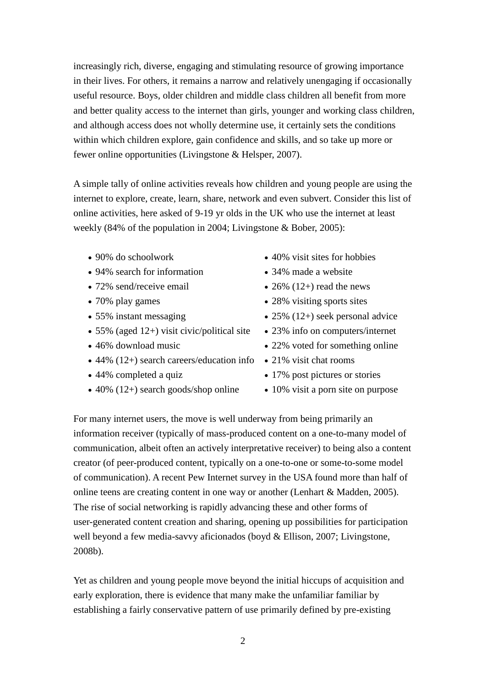increasingly rich, diverse, engaging and stimulating resource of growing importance in their lives. For others, it remains a narrow and relatively unengaging if occasionally useful resource. Boys, older children and middle class children all benefit from more and better quality access to the internet than girls, younger and working class children, and although access does not wholly determine use, it certainly sets the conditions within which children explore, gain confidence and skills, and so take up more or fewer online opportunities (Livingstone & Helsper, 2007).

A simple tally of online activities reveals how children and young people are using the internet to explore, create, learn, share, network and even subvert. Consider this list of online activities, here asked of 9-19 yr olds in the UK who use the internet at least weekly (84% of the population in 2004; Livingstone & Bober, 2005):

- 90% do schoolwork
- 94% search for information
- 72% send/receive email
- 70% play games
- 55% instant messaging
- $\bullet$  55% (aged 12+) visit civic/political site
- 46% download music
- 44% (12+) search careers/education info 21% visit chat rooms
- 44% completed a quiz
- $\bullet$  40% (12+) search goods/shop online
- 40% visit sites for hobbies
- 34% made a website
- 26%  $(12+)$  read the news
- 28% visiting sports sites
- 25% (12+) seek personal advice
- 23% info on computers/internet
	- 22% voted for something online
	-
	- 17% post pictures or stories
	- 10% visit a porn site on purpose

For many internet users, the move is well underway from being primarily an information receiver (typically of mass-produced content on a one-to-many model of communication, albeit often an actively interpretative receiver) to being also a content creator (of peer-produced content, typically on a one-to-one or some-to-some model of communication). A recent Pew Internet survey in the USA found more than half of online teens are creating content in one way or another (Lenhart & Madden, 2005). The rise of social networking is rapidly advancing these and other forms of user-generated content creation and sharing, opening up possibilities for participation well beyond a few media-savvy aficionados (boyd & Ellison, 2007; Livingstone, 2008b).

Yet as children and young people move beyond the initial hiccups of acquisition and early exploration, there is evidence that many make the unfamiliar familiar by establishing a fairly conservative pattern of use primarily defined by pre-existing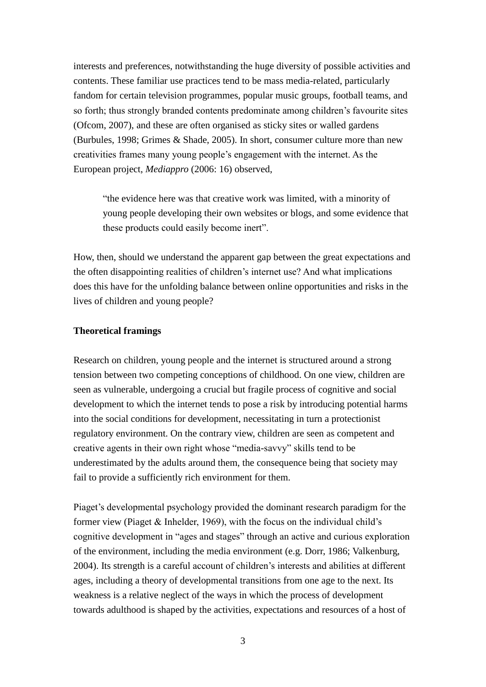interests and preferences, notwithstanding the huge diversity of possible activities and contents. These familiar use practices tend to be mass media-related, particularly fandom for certain television programmes, popular music groups, football teams, and so forth; thus strongly branded contents predominate among children's favourite sites (Ofcom, 2007), and these are often organised as sticky sites or walled gardens (Burbules, 1998; Grimes & Shade, 2005). In short, consumer culture more than new creativities frames many young people's engagement with the internet. As the European project, *Mediappro* (2006: 16) observed,

"the evidence here was that creative work was limited, with a minority of young people developing their own websites or blogs, and some evidence that these products could easily become inert".

How, then, should we understand the apparent gap between the great expectations and the often disappointing realities of children's internet use? And what implications does this have for the unfolding balance between online opportunities and risks in the lives of children and young people?

#### **Theoretical framings**

Research on children, young people and the internet is structured around a strong tension between two competing conceptions of childhood. On one view, children are seen as vulnerable, undergoing a crucial but fragile process of cognitive and social development to which the internet tends to pose a risk by introducing potential harms into the social conditions for development, necessitating in turn a protectionist regulatory environment. On the contrary view, children are seen as competent and creative agents in their own right whose "media-savvy" skills tend to be underestimated by the adults around them, the consequence being that society may fail to provide a sufficiently rich environment for them.

Piaget's developmental psychology provided the dominant research paradigm for the former view (Piaget & Inhelder, 1969), with the focus on the individual child's cognitive development in "ages and stages" through an active and curious exploration of the environment, including the media environment (e.g. Dorr, 1986; Valkenburg, 2004). Its strength is a careful account of children's interests and abilities at different ages, including a theory of developmental transitions from one age to the next. Its weakness is a relative neglect of the ways in which the process of development towards adulthood is shaped by the activities, expectations and resources of a host of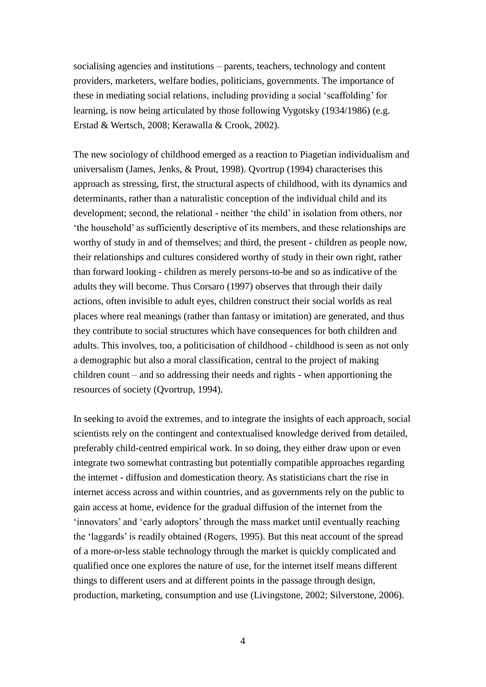socialising agencies and institutions – parents, teachers, technology and content providers, marketers, welfare bodies, politicians, governments. The importance of these in mediating social relations, including providing a social 'scaffolding' for learning, is now being articulated by those following Vygotsky (1934/1986) (e.g. Erstad & Wertsch, 2008; Kerawalla & Crook, 2002).

The new sociology of childhood emerged as a reaction to Piagetian individualism and universalism (James, Jenks, & Prout, 1998). Qvortrup (1994) characterises this approach as stressing, first, the structural aspects of childhood, with its dynamics and determinants, rather than a naturalistic conception of the individual child and its development; second, the relational - neither 'the child' in isolation from others, nor 'the household' as sufficiently descriptive of its members, and these relationships are worthy of study in and of themselves; and third, the present - children as people now, their relationships and cultures considered worthy of study in their own right, rather than forward looking - children as merely persons-to-be and so as indicative of the adults they will become. Thus Corsaro (1997) observes that through their daily actions, often invisible to adult eyes, children construct their social worlds as real places where real meanings (rather than fantasy or imitation) are generated, and thus they contribute to social structures which have consequences for both children and adults. This involves, too, a politicisation of childhood - childhood is seen as not only a demographic but also a moral classification, central to the project of making children count – and so addressing their needs and rights - when apportioning the resources of society (Qvortrup, 1994).

In seeking to avoid the extremes, and to integrate the insights of each approach, social scientists rely on the contingent and contextualised knowledge derived from detailed, preferably child-centred empirical work. In so doing, they either draw upon or even integrate two somewhat contrasting but potentially compatible approaches regarding the internet - diffusion and domestication theory. As statisticians chart the rise in internet access across and within countries, and as governments rely on the public to gain access at home, evidence for the gradual diffusion of the internet from the 'innovators' and 'early adoptors' through the mass market until eventually reaching the 'laggards' is readily obtained (Rogers, 1995). But this neat account of the spread of a more-or-less stable technology through the market is quickly complicated and qualified once one explores the nature of use, for the internet itself means different things to different users and at different points in the passage through design, production, marketing, consumption and use (Livingstone, 2002; Silverstone, 2006).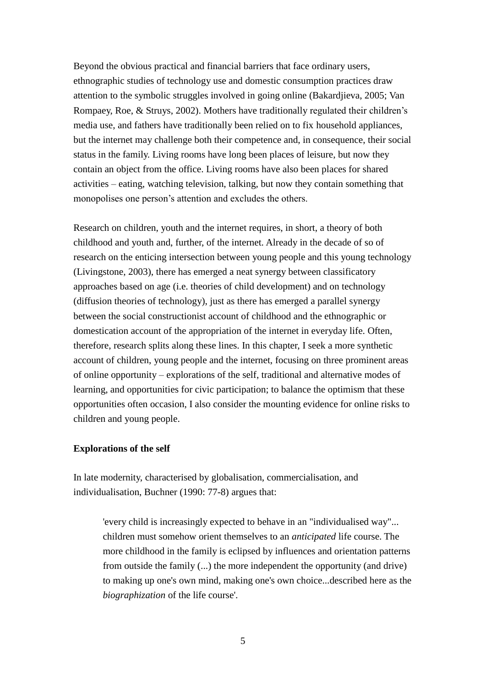Beyond the obvious practical and financial barriers that face ordinary users, ethnographic studies of technology use and domestic consumption practices draw attention to the symbolic struggles involved in going online (Bakardjieva, 2005; Van Rompaey, Roe, & Struys, 2002). Mothers have traditionally regulated their children's media use, and fathers have traditionally been relied on to fix household appliances, but the internet may challenge both their competence and, in consequence, their social status in the family. Living rooms have long been places of leisure, but now they contain an object from the office. Living rooms have also been places for shared activities – eating, watching television, talking, but now they contain something that monopolises one person's attention and excludes the others.

Research on children, youth and the internet requires, in short, a theory of both childhood and youth and, further, of the internet. Already in the decade of so of research on the enticing intersection between young people and this young technology (Livingstone, 2003), there has emerged a neat synergy between classificatory approaches based on age (i.e. theories of child development) and on technology (diffusion theories of technology), just as there has emerged a parallel synergy between the social constructionist account of childhood and the ethnographic or domestication account of the appropriation of the internet in everyday life. Often, therefore, research splits along these lines. In this chapter, I seek a more synthetic account of children, young people and the internet, focusing on three prominent areas of online opportunity – explorations of the self, traditional and alternative modes of learning, and opportunities for civic participation; to balance the optimism that these opportunities often occasion, I also consider the mounting evidence for online risks to children and young people.

#### **Explorations of the self**

In late modernity, characterised by globalisation, commercialisation, and individualisation, Buchner (1990: 77-8) argues that:

> 'every child is increasingly expected to behave in an "individualised way"... children must somehow orient themselves to an *anticipated* life course. The more childhood in the family is eclipsed by influences and orientation patterns from outside the family (...) the more independent the opportunity (and drive) to making up one's own mind, making one's own choice...described here as the *biographization* of the life course'.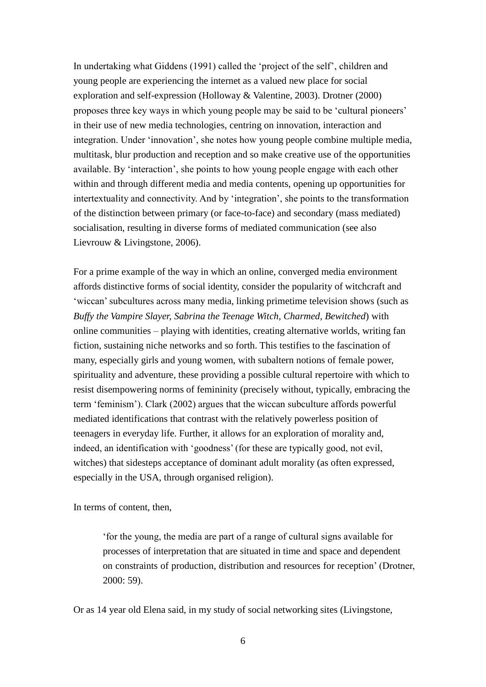In undertaking what Giddens (1991) called the 'project of the self', children and young people are experiencing the internet as a valued new place for social exploration and self-expression (Holloway & Valentine, 2003). Drotner (2000) proposes three key ways in which young people may be said to be 'cultural pioneers' in their use of new media technologies, centring on innovation, interaction and integration. Under 'innovation', she notes how young people combine multiple media, multitask, blur production and reception and so make creative use of the opportunities available. By 'interaction', she points to how young people engage with each other within and through different media and media contents, opening up opportunities for intertextuality and connectivity. And by 'integration', she points to the transformation of the distinction between primary (or face-to-face) and secondary (mass mediated) socialisation, resulting in diverse forms of mediated communication (see also Lievrouw & Livingstone, 2006).

For a prime example of the way in which an online, converged media environment affords distinctive forms of social identity, consider the popularity of witchcraft and 'wiccan' subcultures across many media, linking primetime television shows (such as *Buffy the Vampire Slayer, Sabrina the Teenage Witch, Charmed, Bewitched*) with online communities – playing with identities, creating alternative worlds, writing fan fiction, sustaining niche networks and so forth. This testifies to the fascination of many, especially girls and young women, with subaltern notions of female power, spirituality and adventure, these providing a possible cultural repertoire with which to resist disempowering norms of femininity (precisely without, typically, embracing the term 'feminism'). Clark (2002) argues that the wiccan subculture affords powerful mediated identifications that contrast with the relatively powerless position of teenagers in everyday life. Further, it allows for an exploration of morality and, indeed, an identification with 'goodness' (for these are typically good, not evil, witches) that sidesteps acceptance of dominant adult morality (as often expressed, especially in the USA, through organised religion).

In terms of content, then,

'for the young, the media are part of a range of cultural signs available for processes of interpretation that are situated in time and space and dependent on constraints of production, distribution and resources for reception' (Drotner, 2000: 59).

Or as 14 year old Elena said, in my study of social networking sites (Livingstone,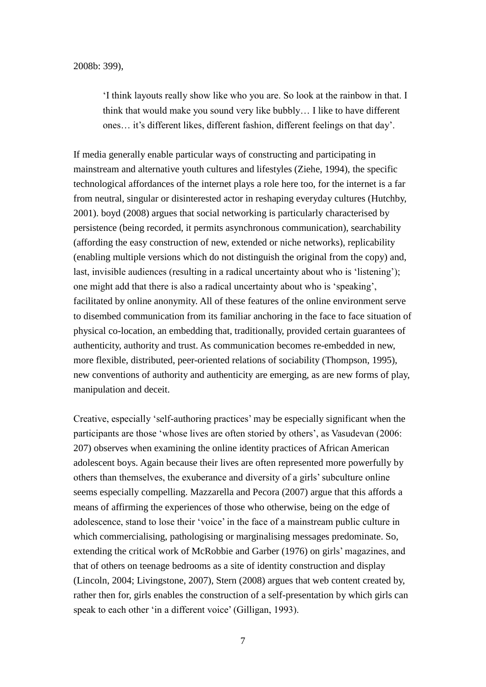'I think layouts really show like who you are. So look at the rainbow in that. I think that would make you sound very like bubbly… I like to have different ones… it's different likes, different fashion, different feelings on that day'.

If media generally enable particular ways of constructing and participating in mainstream and alternative youth cultures and lifestyles (Ziehe, 1994), the specific technological affordances of the internet plays a role here too, for the internet is a far from neutral, singular or disinterested actor in reshaping everyday cultures (Hutchby, 2001). boyd (2008) argues that social networking is particularly characterised by persistence (being recorded, it permits asynchronous communication), searchability (affording the easy construction of new, extended or niche networks), replicability (enabling multiple versions which do not distinguish the original from the copy) and, last, invisible audiences (resulting in a radical uncertainty about who is 'listening'); one might add that there is also a radical uncertainty about who is 'speaking', facilitated by online anonymity. All of these features of the online environment serve to disembed communication from its familiar anchoring in the face to face situation of physical co-location, an embedding that, traditionally, provided certain guarantees of authenticity, authority and trust. As communication becomes re-embedded in new, more flexible, distributed, peer-oriented relations of sociability (Thompson, 1995), new conventions of authority and authenticity are emerging, as are new forms of play, manipulation and deceit.

Creative, especially 'self-authoring practices' may be especially significant when the participants are those 'whose lives are often storied by others', as Vasudevan (2006: 207) observes when examining the online identity practices of African American adolescent boys. Again because their lives are often represented more powerfully by others than themselves, the exuberance and diversity of a girls' subculture online seems especially compelling. Mazzarella and Pecora (2007) argue that this affords a means of affirming the experiences of those who otherwise, being on the edge of adolescence, stand to lose their 'voice' in the face of a mainstream public culture in which commercialising, pathologising or marginalising messages predominate. So, extending the critical work of McRobbie and Garber (1976) on girls' magazines, and that of others on teenage bedrooms as a site of identity construction and display (Lincoln, 2004; Livingstone, 2007), Stern (2008) argues that web content created by, rather then for, girls enables the construction of a self-presentation by which girls can speak to each other 'in a different voice' (Gilligan, 1993).

7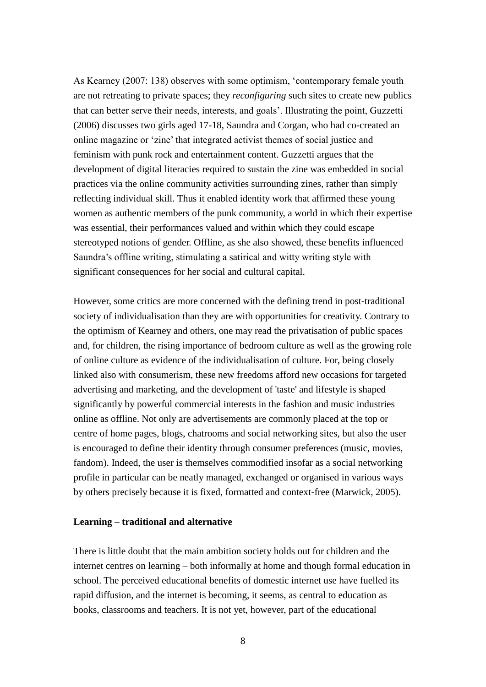As Kearney (2007: 138) observes with some optimism, 'contemporary female youth are not retreating to private spaces; they *reconfiguring* such sites to create new publics that can better serve their needs, interests, and goals'. Illustrating the point, Guzzetti (2006) discusses two girls aged 17-18, Saundra and Corgan, who had co-created an online magazine or 'zine' that integrated activist themes of social justice and feminism with punk rock and entertainment content. Guzzetti argues that the development of digital literacies required to sustain the zine was embedded in social practices via the online community activities surrounding zines, rather than simply reflecting individual skill. Thus it enabled identity work that affirmed these young women as authentic members of the punk community, a world in which their expertise was essential, their performances valued and within which they could escape stereotyped notions of gender. Offline, as she also showed, these benefits influenced Saundra's offline writing, stimulating a satirical and witty writing style with significant consequences for her social and cultural capital.

However, some critics are more concerned with the defining trend in post-traditional society of individualisation than they are with opportunities for creativity. Contrary to the optimism of Kearney and others, one may read the privatisation of public spaces and, for children, the rising importance of bedroom culture as well as the growing role of online culture as evidence of the individualisation of culture. For, being closely linked also with consumerism, these new freedoms afford new occasions for targeted advertising and marketing, and the development of 'taste' and lifestyle is shaped significantly by powerful commercial interests in the fashion and music industries online as offline. Not only are advertisements are commonly placed at the top or centre of home pages, blogs, chatrooms and social networking sites, but also the user is encouraged to define their identity through consumer preferences (music, movies, fandom). Indeed, the user is themselves commodified insofar as a social networking profile in particular can be neatly managed, exchanged or organised in various ways by others precisely because it is fixed, formatted and context-free (Marwick, 2005).

#### **Learning – traditional and alternative**

There is little doubt that the main ambition society holds out for children and the internet centres on learning – both informally at home and though formal education in school. The perceived educational benefits of domestic internet use have fuelled its rapid diffusion, and the internet is becoming, it seems, as central to education as books, classrooms and teachers. It is not yet, however, part of the educational

8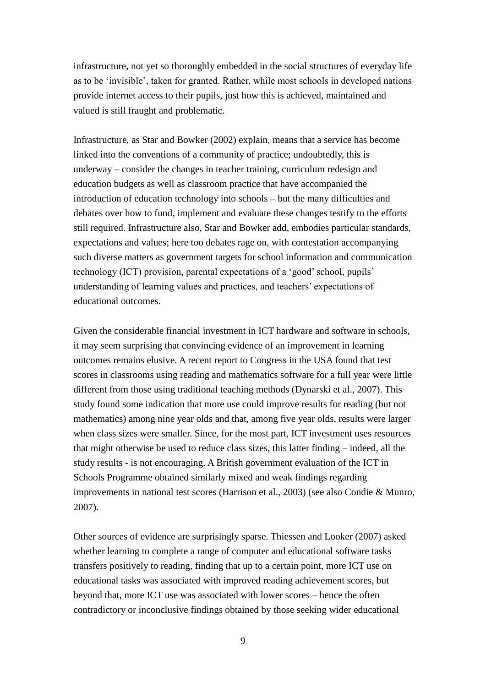infrastructure, not yet so thoroughly embedded in the social structures of everyday life as to be 'invisible', taken for granted. Rather, while most schools in developed nations provide internet access to their pupils, just how this is achieved, maintained and valued is still fraught and problematic.

Infrastructure, as Star and Bowker (2002) explain, means that a service has become linked into the conventions of a community of practice; undoubtedly, this is underway – consider the changes in teacher training, curriculum redesign and education budgets as well as classroom practice that have accompanied the introduction of education technology into schools – but the many difficulties and debates over how to fund, implement and evaluate these changes testify to the efforts still required. Infrastructure also, Star and Bowker add, embodies particular standards, expectations and values; here too debates rage on, with contestation accompanying such diverse matters as government targets for school information and communication technology (ICT) provision, parental expectations of a 'good' school, pupils' understanding of learning values and practices, and teachers' expectations of educational outcomes.

Given the considerable financial investment in ICT hardware and software in schools, it may seem surprising that convincing evidence of an improvement in learning outcomes remains elusive. A recent report to Congress in the USA found that test scores in classrooms using reading and mathematics software for a full year were little different from those using traditional teaching methods (Dynarski et al., 2007). This study found some indication that more use could improve results for reading (but not mathematics) among nine year olds and that, among five year olds, results were larger when class sizes were smaller. Since, for the most part, ICT investment uses resources that might otherwise be used to reduce class sizes, this latter finding – indeed, all the study results - is not encouraging. A British government evaluation of the ICT in Schools Programme obtained similarly mixed and weak findings regarding improvements in national test scores (Harrison et al., 2003) (see also Condie & Munro, 2007).

Other sources of evidence are surprisingly sparse. Thiessen and Looker (2007) asked whether learning to complete a range of computer and educational software tasks transfers positively to reading, finding that up to a certain point, more ICT use on educational tasks was associated with improved reading achievement scores, but beyond that, more ICT use was associated with lower scores – hence the often contradictory or inconclusive findings obtained by those seeking wider educational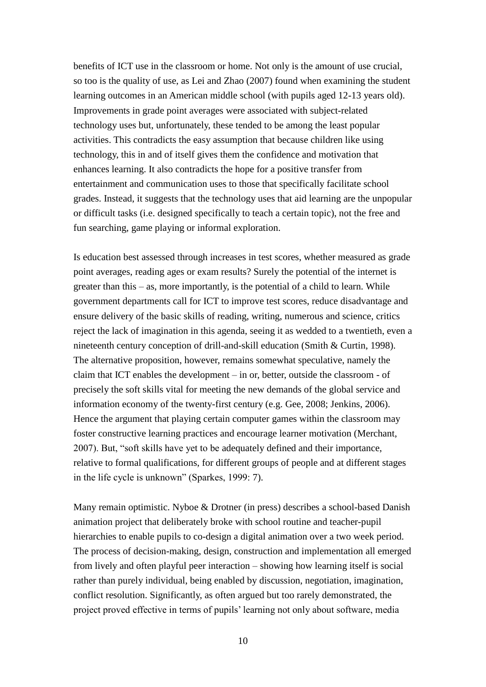benefits of ICT use in the classroom or home. Not only is the amount of use crucial, so too is the quality of use, as Lei and Zhao (2007) found when examining the student learning outcomes in an American middle school (with pupils aged 12-13 years old). Improvements in grade point averages were associated with subject-related technology uses but, unfortunately, these tended to be among the least popular activities. This contradicts the easy assumption that because children like using technology, this in and of itself gives them the confidence and motivation that enhances learning. It also contradicts the hope for a positive transfer from entertainment and communication uses to those that specifically facilitate school grades. Instead, it suggests that the technology uses that aid learning are the unpopular or difficult tasks (i.e. designed specifically to teach a certain topic), not the free and fun searching, game playing or informal exploration.

Is education best assessed through increases in test scores, whether measured as grade point averages, reading ages or exam results? Surely the potential of the internet is greater than this – as, more importantly, is the potential of a child to learn. While government departments call for ICT to improve test scores, reduce disadvantage and ensure delivery of the basic skills of reading, writing, numerous and science, critics reject the lack of imagination in this agenda, seeing it as wedded to a twentieth, even a nineteenth century conception of drill-and-skill education (Smith & Curtin, 1998). The alternative proposition, however, remains somewhat speculative, namely the claim that ICT enables the development – in or, better, outside the classroom - of precisely the soft skills vital for meeting the new demands of the global service and information economy of the twenty-first century (e.g. Gee, 2008; Jenkins, 2006). Hence the argument that playing certain computer games within the classroom may foster constructive learning practices and encourage learner motivation (Merchant, 2007). But, "soft skills have yet to be adequately defined and their importance, relative to formal qualifications, for different groups of people and at different stages in the life cycle is unknown" (Sparkes, 1999: 7).

Many remain optimistic. Nyboe & Drotner (in press) describes a school-based Danish animation project that deliberately broke with school routine and teacher-pupil hierarchies to enable pupils to co-design a digital animation over a two week period. The process of decision-making, design, construction and implementation all emerged from lively and often playful peer interaction – showing how learning itself is social rather than purely individual, being enabled by discussion, negotiation, imagination, conflict resolution. Significantly, as often argued but too rarely demonstrated, the project proved effective in terms of pupils' learning not only about software, media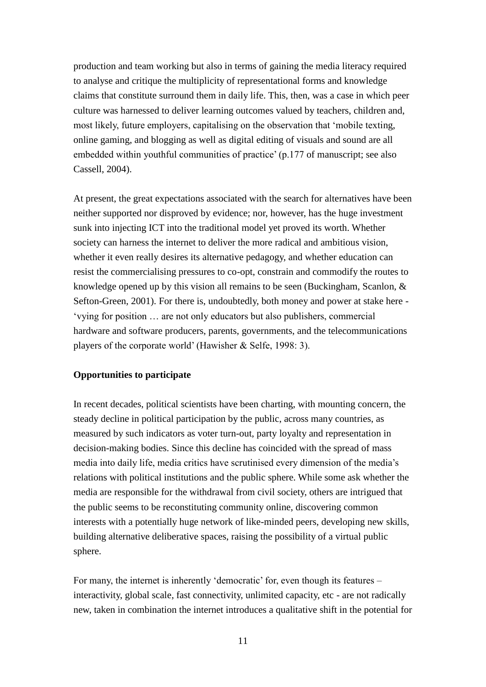production and team working but also in terms of gaining the media literacy required to analyse and critique the multiplicity of representational forms and knowledge claims that constitute surround them in daily life. This, then, was a case in which peer culture was harnessed to deliver learning outcomes valued by teachers, children and, most likely, future employers, capitalising on the observation that 'mobile texting, online gaming, and blogging as well as digital editing of visuals and sound are all embedded within youthful communities of practice' (p.177 of manuscript; see also Cassell, 2004).

At present, the great expectations associated with the search for alternatives have been neither supported nor disproved by evidence; nor, however, has the huge investment sunk into injecting ICT into the traditional model yet proved its worth. Whether society can harness the internet to deliver the more radical and ambitious vision, whether it even really desires its alternative pedagogy, and whether education can resist the commercialising pressures to co-opt, constrain and commodify the routes to knowledge opened up by this vision all remains to be seen (Buckingham, Scanlon, & Sefton-Green, 2001). For there is, undoubtedly, both money and power at stake here - 'vying for position … are not only educators but also publishers, commercial hardware and software producers, parents, governments, and the telecommunications players of the corporate world' (Hawisher & Selfe, 1998: 3).

#### **Opportunities to participate**

In recent decades, political scientists have been charting, with mounting concern, the steady decline in political participation by the public, across many countries, as measured by such indicators as voter turn-out, party loyalty and representation in decision-making bodies. Since this decline has coincided with the spread of mass media into daily life, media critics have scrutinised every dimension of the media's relations with political institutions and the public sphere. While some ask whether the media are responsible for the withdrawal from civil society, others are intrigued that the public seems to be reconstituting community online, discovering common interests with a potentially huge network of like-minded peers, developing new skills, building alternative deliberative spaces, raising the possibility of a virtual public sphere.

For many, the internet is inherently 'democratic' for, even though its features – interactivity, global scale, fast connectivity, unlimited capacity, etc - are not radically new, taken in combination the internet introduces a qualitative shift in the potential for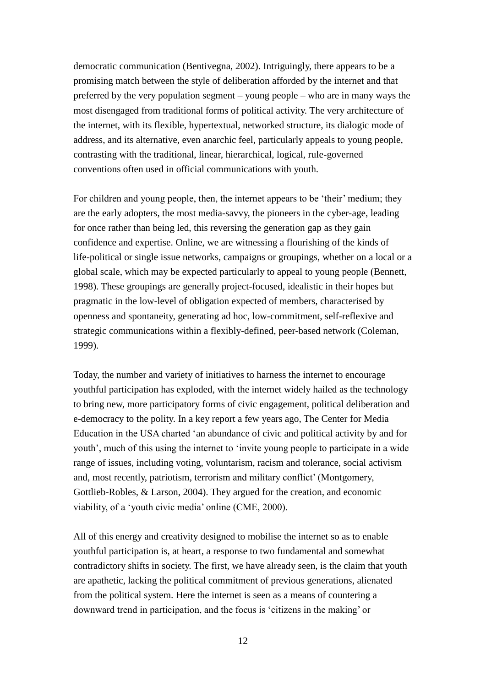democratic communication (Bentivegna, 2002). Intriguingly, there appears to be a promising match between the style of deliberation afforded by the internet and that preferred by the very population segment – young people – who are in many ways the most disengaged from traditional forms of political activity. The very architecture of the internet, with its flexible, hypertextual, networked structure, its dialogic mode of address, and its alternative, even anarchic feel, particularly appeals to young people, contrasting with the traditional, linear, hierarchical, logical, rule-governed conventions often used in official communications with youth.

For children and young people, then, the internet appears to be 'their' medium; they are the early adopters, the most media-savvy, the pioneers in the cyber-age, leading for once rather than being led, this reversing the generation gap as they gain confidence and expertise. Online, we are witnessing a flourishing of the kinds of life-political or single issue networks, campaigns or groupings, whether on a local or a global scale, which may be expected particularly to appeal to young people (Bennett, 1998). These groupings are generally project-focused, idealistic in their hopes but pragmatic in the low-level of obligation expected of members, characterised by openness and spontaneity, generating ad hoc, low-commitment, self-reflexive and strategic communications within a flexibly-defined, peer-based network (Coleman, 1999).

Today, the number and variety of initiatives to harness the internet to encourage youthful participation has exploded, with the internet widely hailed as the technology to bring new, more participatory forms of civic engagement, political deliberation and e-democracy to the polity. In a key report a few years ago, The Center for Media Education in the USA charted 'an abundance of civic and political activity by and for youth', much of this using the internet to 'invite young people to participate in a wide range of issues, including voting, voluntarism, racism and tolerance, social activism and, most recently, patriotism, terrorism and military conflict' (Montgomery, Gottlieb-Robles, & Larson, 2004). They argued for the creation, and economic viability, of a 'youth civic media' online (CME, 2000).

All of this energy and creativity designed to mobilise the internet so as to enable youthful participation is, at heart, a response to two fundamental and somewhat contradictory shifts in society. The first, we have already seen, is the claim that youth are apathetic, lacking the political commitment of previous generations, alienated from the political system. Here the internet is seen as a means of countering a downward trend in participation, and the focus is 'citizens in the making' or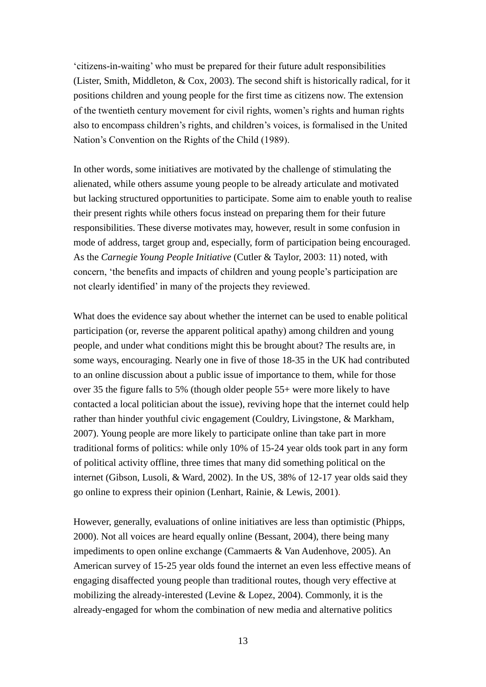'citizens-in-waiting' who must be prepared for their future adult responsibilities (Lister, Smith, Middleton, & Cox, 2003). The second shift is historically radical, for it positions children and young people for the first time as citizens now. The extension of the twentieth century movement for civil rights, women's rights and human rights also to encompass children's rights, and children's voices, is formalised in the United Nation's Convention on the Rights of the Child (1989).

In other words, some initiatives are motivated by the challenge of stimulating the alienated, while others assume young people to be already articulate and motivated but lacking structured opportunities to participate. Some aim to enable youth to realise their present rights while others focus instead on preparing them for their future responsibilities. These diverse motivates may, however, result in some confusion in mode of address, target group and, especially, form of participation being encouraged. As the *Carnegie Young People Initiative* (Cutler & Taylor, 2003: 11) noted, with concern, 'the benefits and impacts of children and young people's participation are not clearly identified' in many of the projects they reviewed.

What does the evidence say about whether the internet can be used to enable political participation (or, reverse the apparent political apathy) among children and young people, and under what conditions might this be brought about? The results are, in some ways, encouraging. Nearly one in five of those 18-35 in the UK had contributed to an online discussion about a public issue of importance to them, while for those over 35 the figure falls to 5% (though older people 55+ were more likely to have contacted a local politician about the issue), reviving hope that the internet could help rather than hinder youthful civic engagement (Couldry, Livingstone, & Markham, 2007). Young people are more likely to participate online than take part in more traditional forms of politics: while only 10% of 15-24 year olds took part in any form of political activity offline, three times that many did something political on the internet (Gibson, Lusoli, & Ward, 2002). In the US, 38% of 12-17 year olds said they go online to express their opinion (Lenhart, Rainie, & Lewis, 2001).

However, generally, evaluations of online initiatives are less than optimistic (Phipps, 2000). Not all voices are heard equally online (Bessant, 2004), there being many impediments to open online exchange (Cammaerts & Van Audenhove, 2005). An American survey of 15-25 year olds found the internet an even less effective means of engaging disaffected young people than traditional routes, though very effective at mobilizing the already-interested (Levine & Lopez, 2004). Commonly, it is the already-engaged for whom the combination of new media and alternative politics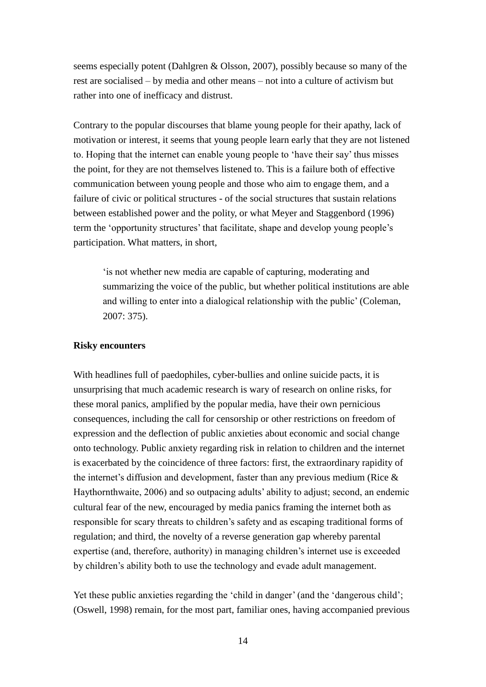seems especially potent (Dahlgren & Olsson, 2007), possibly because so many of the rest are socialised – by media and other means – not into a culture of activism but rather into one of inefficacy and distrust.

Contrary to the popular discourses that blame young people for their apathy, lack of motivation or interest, it seems that young people learn early that they are not listened to. Hoping that the internet can enable young people to 'have their say' thus misses the point, for they are not themselves listened to. This is a failure both of effective communication between young people and those who aim to engage them, and a failure of civic or political structures - of the social structures that sustain relations between established power and the polity, or what Meyer and Staggenbord (1996) term the 'opportunity structures' that facilitate, shape and develop young people's participation. What matters, in short,

'is not whether new media are capable of capturing, moderating and summarizing the voice of the public, but whether political institutions are able and willing to enter into a dialogical relationship with the public' (Coleman, 2007: 375).

#### **Risky encounters**

With headlines full of paedophiles, cyber-bullies and online suicide pacts, it is unsurprising that much academic research is wary of research on online risks, for these moral panics, amplified by the popular media, have their own pernicious consequences, including the call for censorship or other restrictions on freedom of expression and the deflection of public anxieties about economic and social change onto technology. Public anxiety regarding risk in relation to children and the internet is exacerbated by the coincidence of three factors: first, the extraordinary rapidity of the internet's diffusion and development, faster than any previous medium (Rice & Haythornthwaite, 2006) and so outpacing adults' ability to adjust; second, an endemic cultural fear of the new, encouraged by media panics framing the internet both as responsible for scary threats to children's safety and as escaping traditional forms of regulation; and third, the novelty of a reverse generation gap whereby parental expertise (and, therefore, authority) in managing children's internet use is exceeded by children's ability both to use the technology and evade adult management.

Yet these public anxieties regarding the 'child in danger' (and the 'dangerous child'; (Oswell, 1998) remain, for the most part, familiar ones, having accompanied previous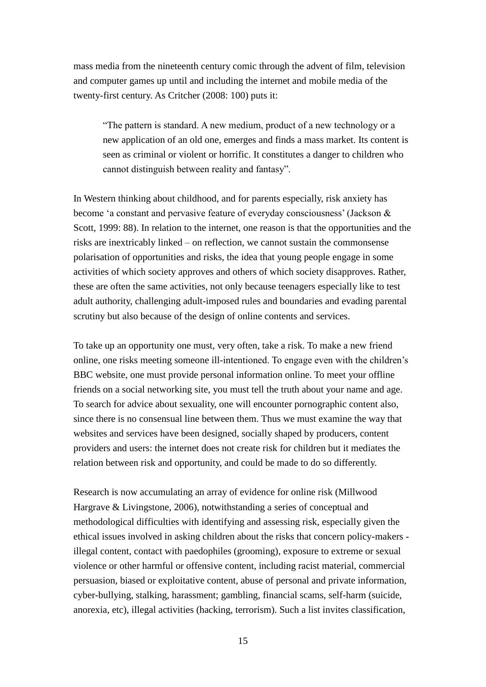mass media from the nineteenth century comic through the advent of film, television and computer games up until and including the internet and mobile media of the twenty-first century. As Critcher (2008: 100) puts it:

"The pattern is standard. A new medium, product of a new technology or a new application of an old one, emerges and finds a mass market. Its content is seen as criminal or violent or horrific. It constitutes a danger to children who cannot distinguish between reality and fantasy".

In Western thinking about childhood, and for parents especially, risk anxiety has become 'a constant and pervasive feature of everyday consciousness' (Jackson & Scott, 1999: 88). In relation to the internet, one reason is that the opportunities and the risks are inextricably linked – on reflection, we cannot sustain the commonsense polarisation of opportunities and risks, the idea that young people engage in some activities of which society approves and others of which society disapproves. Rather, these are often the same activities, not only because teenagers especially like to test adult authority, challenging adult-imposed rules and boundaries and evading parental scrutiny but also because of the design of online contents and services.

To take up an opportunity one must, very often, take a risk. To make a new friend online, one risks meeting someone ill-intentioned. To engage even with the children's BBC website, one must provide personal information online. To meet your offline friends on a social networking site, you must tell the truth about your name and age. To search for advice about sexuality, one will encounter pornographic content also, since there is no consensual line between them. Thus we must examine the way that websites and services have been designed, socially shaped by producers, content providers and users: the internet does not create risk for children but it mediates the relation between risk and opportunity, and could be made to do so differently.

Research is now accumulating an array of evidence for online risk (Millwood Hargrave & Livingstone, 2006), notwithstanding a series of conceptual and methodological difficulties with identifying and assessing risk, especially given the ethical issues involved in asking children about the risks that concern policy-makers illegal content, contact with paedophiles (grooming), exposure to extreme or sexual violence or other harmful or offensive content, including racist material, commercial persuasion, biased or exploitative content, abuse of personal and private information, cyber-bullying, stalking, harassment; gambling, financial scams, self-harm (suicide, anorexia, etc), illegal activities (hacking, terrorism). Such a list invites classification,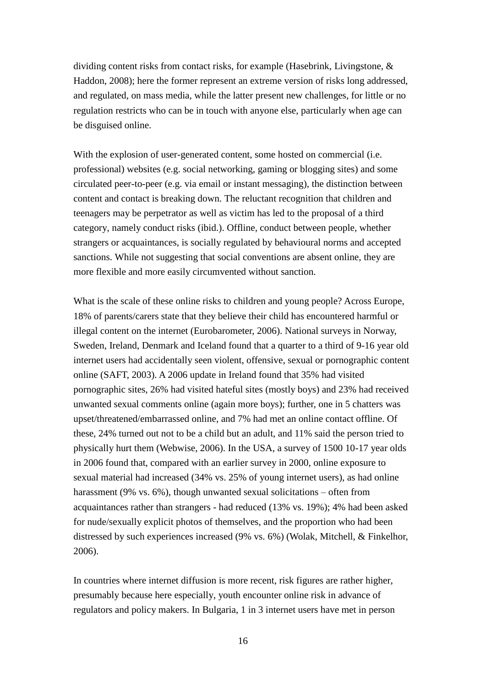dividing content risks from contact risks, for example (Hasebrink, Livingstone, & Haddon, 2008); here the former represent an extreme version of risks long addressed, and regulated, on mass media, while the latter present new challenges, for little or no regulation restricts who can be in touch with anyone else, particularly when age can be disguised online.

With the explosion of user-generated content, some hosted on commercial (i.e. professional) websites (e.g. social networking, gaming or blogging sites) and some circulated peer-to-peer (e.g. via email or instant messaging), the distinction between content and contact is breaking down. The reluctant recognition that children and teenagers may be perpetrator as well as victim has led to the proposal of a third category, namely conduct risks (ibid.). Offline, conduct between people, whether strangers or acquaintances, is socially regulated by behavioural norms and accepted sanctions. While not suggesting that social conventions are absent online, they are more flexible and more easily circumvented without sanction.

What is the scale of these online risks to children and young people? Across Europe, 18% of parents/carers state that they believe their child has encountered harmful or illegal content on the internet (Eurobarometer, 2006). National surveys in Norway, Sweden, Ireland, Denmark and Iceland found that a quarter to a third of 9-16 year old internet users had accidentally seen violent, offensive, sexual or pornographic content online (SAFT, 2003). A 2006 update in Ireland found that 35% had visited pornographic sites, 26% had visited hateful sites (mostly boys) and 23% had received unwanted sexual comments online (again more boys); further, one in 5 chatters was upset/threatened/embarrassed online, and 7% had met an online contact offline. Of these, 24% turned out not to be a child but an adult, and 11% said the person tried to physically hurt them (Webwise, 2006). In the USA, a survey of 1500 10-17 year olds in 2006 found that, compared with an earlier survey in 2000, online exposure to sexual material had increased (34% vs. 25% of young internet users), as had online harassment (9% vs. 6%), though unwanted sexual solicitations – often from acquaintances rather than strangers - had reduced (13% vs. 19%); 4% had been asked for nude/sexually explicit photos of themselves, and the proportion who had been distressed by such experiences increased (9% vs. 6%) (Wolak, Mitchell, & Finkelhor, 2006).

In countries where internet diffusion is more recent, risk figures are rather higher, presumably because here especially, youth encounter online risk in advance of regulators and policy makers. In Bulgaria, 1 in 3 internet users have met in person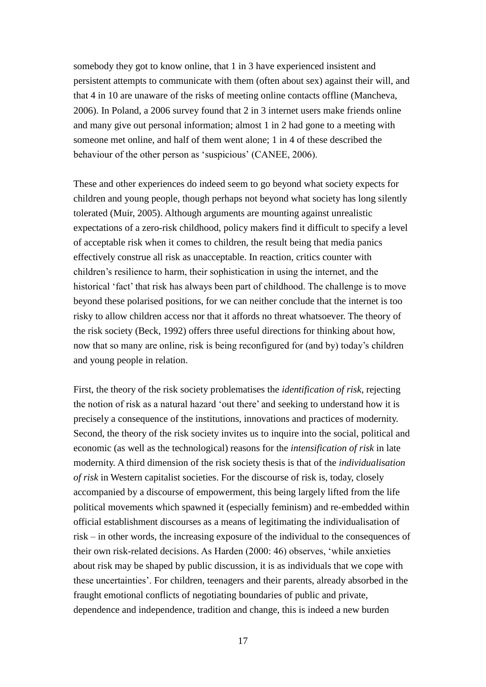somebody they got to know online, that 1 in 3 have experienced insistent and persistent attempts to communicate with them (often about sex) against their will, and that 4 in 10 are unaware of the risks of meeting online contacts offline (Mancheva, 2006). In Poland, a 2006 survey found that 2 in 3 internet users make friends online and many give out personal information; almost 1 in 2 had gone to a meeting with someone met online, and half of them went alone; 1 in 4 of these described the behaviour of the other person as 'suspicious' (CANEE, 2006).

These and other experiences do indeed seem to go beyond what society expects for children and young people, though perhaps not beyond what society has long silently tolerated (Muir, 2005). Although arguments are mounting against unrealistic expectations of a zero-risk childhood, policy makers find it difficult to specify a level of acceptable risk when it comes to children, the result being that media panics effectively construe all risk as unacceptable. In reaction, critics counter with children's resilience to harm, their sophistication in using the internet, and the historical 'fact' that risk has always been part of childhood. The challenge is to move beyond these polarised positions, for we can neither conclude that the internet is too risky to allow children access nor that it affords no threat whatsoever. The theory of the risk society (Beck, 1992) offers three useful directions for thinking about how, now that so many are online, risk is being reconfigured for (and by) today's children and young people in relation.

First, the theory of the risk society problematises the *identification of risk*, rejecting the notion of risk as a natural hazard 'out there' and seeking to understand how it is precisely a consequence of the institutions, innovations and practices of modernity. Second, the theory of the risk society invites us to inquire into the social, political and economic (as well as the technological) reasons for the *intensification of risk* in late modernity. A third dimension of the risk society thesis is that of the *individualisation of risk* in Western capitalist societies. For the discourse of risk is, today, closely accompanied by a discourse of empowerment, this being largely lifted from the life political movements which spawned it (especially feminism) and re-embedded within official establishment discourses as a means of legitimating the individualisation of risk – in other words, the increasing exposure of the individual to the consequences of their own risk-related decisions. As Harden (2000: 46) observes, 'while anxieties about risk may be shaped by public discussion, it is as individuals that we cope with these uncertainties'. For children, teenagers and their parents, already absorbed in the fraught emotional conflicts of negotiating boundaries of public and private, dependence and independence, tradition and change, this is indeed a new burden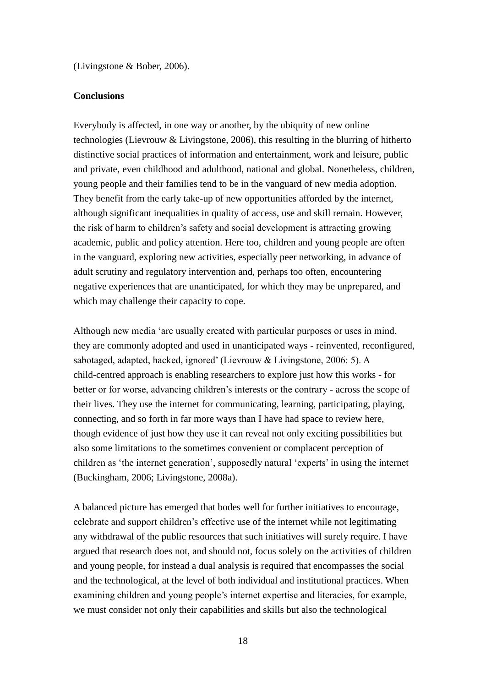(Livingstone & Bober, 2006).

#### **Conclusions**

Everybody is affected, in one way or another, by the ubiquity of new online technologies (Lievrouw & Livingstone, 2006), this resulting in the blurring of hitherto distinctive social practices of information and entertainment, work and leisure, public and private, even childhood and adulthood, national and global. Nonetheless, children, young people and their families tend to be in the vanguard of new media adoption. They benefit from the early take-up of new opportunities afforded by the internet, although significant inequalities in quality of access, use and skill remain. However, the risk of harm to children's safety and social development is attracting growing academic, public and policy attention. Here too, children and young people are often in the vanguard, exploring new activities, especially peer networking, in advance of adult scrutiny and regulatory intervention and, perhaps too often, encountering negative experiences that are unanticipated, for which they may be unprepared, and which may challenge their capacity to cope.

Although new media 'are usually created with particular purposes or uses in mind, they are commonly adopted and used in unanticipated ways - reinvented, reconfigured, sabotaged, adapted, hacked, ignored' (Lievrouw & Livingstone, 2006: 5). A child-centred approach is enabling researchers to explore just how this works - for better or for worse, advancing children's interests or the contrary - across the scope of their lives. They use the internet for communicating, learning, participating, playing, connecting, and so forth in far more ways than I have had space to review here, though evidence of just how they use it can reveal not only exciting possibilities but also some limitations to the sometimes convenient or complacent perception of children as 'the internet generation', supposedly natural 'experts' in using the internet (Buckingham, 2006; Livingstone, 2008a).

A balanced picture has emerged that bodes well for further initiatives to encourage, celebrate and support children's effective use of the internet while not legitimating any withdrawal of the public resources that such initiatives will surely require. I have argued that research does not, and should not, focus solely on the activities of children and young people, for instead a dual analysis is required that encompasses the social and the technological, at the level of both individual and institutional practices. When examining children and young people's internet expertise and literacies, for example, we must consider not only their capabilities and skills but also the technological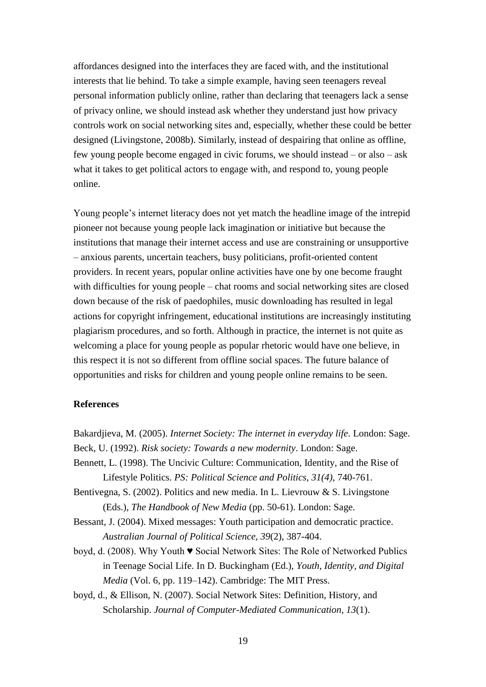affordances designed into the interfaces they are faced with, and the institutional interests that lie behind. To take a simple example, having seen teenagers reveal personal information publicly online, rather than declaring that teenagers lack a sense of privacy online, we should instead ask whether they understand just how privacy controls work on social networking sites and, especially, whether these could be better designed (Livingstone, 2008b). Similarly, instead of despairing that online as offline, few young people become engaged in civic forums, we should instead – or also – ask what it takes to get political actors to engage with, and respond to, young people online.

Young people's internet literacy does not yet match the headline image of the intrepid pioneer not because young people lack imagination or initiative but because the institutions that manage their internet access and use are constraining or unsupportive – anxious parents, uncertain teachers, busy politicians, profit-oriented content providers. In recent years, popular online activities have one by one become fraught with difficulties for young people – chat rooms and social networking sites are closed down because of the risk of paedophiles, music downloading has resulted in legal actions for copyright infringement, educational institutions are increasingly instituting plagiarism procedures, and so forth. Although in practice, the internet is not quite as welcoming a place for young people as popular rhetoric would have one believe, in this respect it is not so different from offline social spaces. The future balance of opportunities and risks for children and young people online remains to be seen.

#### **References**

Bakardjieva, M. (2005). *Internet Society: The internet in everyday life*. London: Sage. Beck, U. (1992). *Risk society: Towards a new modernity*. London: Sage. Bennett, L. (1998). The Uncivic Culture: Communication, Identity, and the Rise of Lifestyle Politics. *PS: Political Science and Politics, 31(4)*, 740-761. Bentivegna, S. (2002). Politics and new media. In L. Lievrouw & S. Livingstone

(Eds.), *The Handbook of New Media* (pp. 50-61). London: Sage.

Bessant, J. (2004). Mixed messages: Youth participation and democratic practice. *Australian Journal of Political Science, 39*(2), 387-404.

boyd, d. (2008). Why Youth ♥ Social Network Sites: The Role of Networked Publics in Teenage Social Life. In D. Buckingham (Ed.), *Youth, Identity, and Digital Media* (Vol. 6, pp. 119–142). Cambridge: The MIT Press.

boyd, d., & Ellison, N. (2007). Social Network Sites: Definition, History, and Scholarship. *Journal of Computer-Mediated Communication, 13*(1).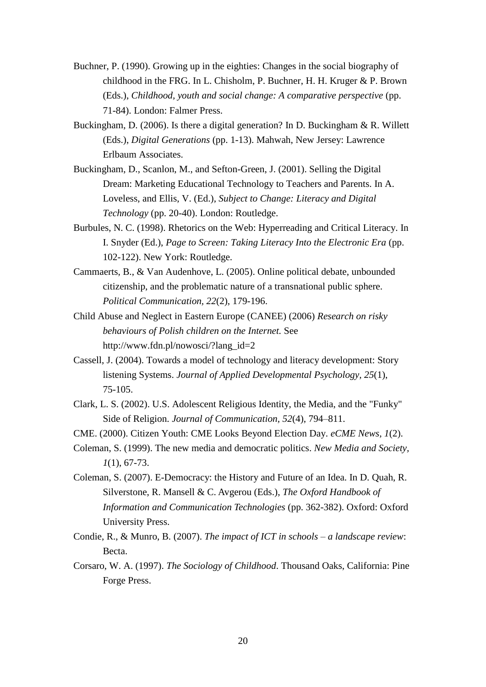- Buchner, P. (1990). Growing up in the eighties: Changes in the social biography of childhood in the FRG. In L. Chisholm, P. Buchner, H. H. Kruger & P. Brown (Eds.), *Childhood, youth and social change: A comparative perspective* (pp. 71-84). London: Falmer Press.
- Buckingham, D. (2006). Is there a digital generation? In D. Buckingham & R. Willett (Eds.), *Digital Generations* (pp. 1-13). Mahwah, New Jersey: Lawrence Erlbaum Associates.
- Buckingham, D., Scanlon, M., and Sefton-Green, J. (2001). Selling the Digital Dream: Marketing Educational Technology to Teachers and Parents. In A. Loveless, and Ellis, V. (Ed.), *Subject to Change: Literacy and Digital Technology* (pp. 20-40). London: Routledge.
- Burbules, N. C. (1998). Rhetorics on the Web: Hyperreading and Critical Literacy. In I. Snyder (Ed.), *Page to Screen: Taking Literacy Into the Electronic Era* (pp. 102-122). New York: Routledge.
- Cammaerts, B., & Van Audenhove, L. (2005). Online political debate, unbounded citizenship, and the problematic nature of a transnational public sphere. *Political Communication, 22*(2), 179-196.
- Child Abuse and Neglect in Eastern Europe (CANEE) (2006) *Research on risky behaviours of Polish children on the Internet.* See http://www.fdn.pl/nowosci/?lang\_id=2
- Cassell, J. (2004). Towards a model of technology and literacy development: Story listening Systems. *Journal of Applied Developmental Psychology, 25*(1), 75-105.
- Clark, L. S. (2002). U.S. Adolescent Religious Identity, the Media, and the "Funky" Side of Religion. *Journal of Communication, 52*(4), 794–811.
- CME. (2000). Citizen Youth: CME Looks Beyond Election Day. *eCME News, 1*(2).
- Coleman, S. (1999). The new media and democratic politics. *New Media and Society, 1*(1), 67-73.
- Coleman, S. (2007). E-Democracy: the History and Future of an Idea. In D. Quah, R. Silverstone, R. Mansell & C. Avgerou (Eds.), *The Oxford Handbook of Information and Communication Technologies* (pp. 362-382). Oxford: Oxford University Press.
- Condie, R., & Munro, B. (2007). *The impact of ICT in schools – a landscape review*: Becta.
- Corsaro, W. A. (1997). *The Sociology of Childhood*. Thousand Oaks, California: Pine Forge Press.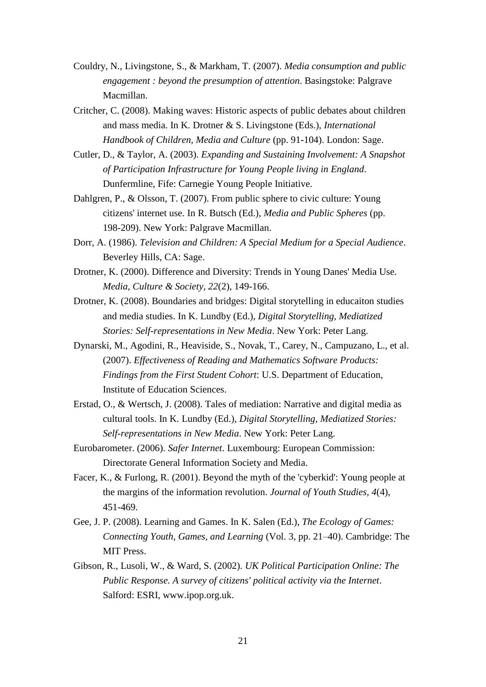- Couldry, N., Livingstone, S., & Markham, T. (2007). *Media consumption and public engagement : beyond the presumption of attention*. Basingstoke: Palgrave Macmillan.
- Critcher, C. (2008). Making waves: Historic aspects of public debates about children and mass media. In K. Drotner & S. Livingstone (Eds.), *International Handbook of Children, Media and Culture* (pp. 91-104). London: Sage.
- Cutler, D., & Taylor, A. (2003). *Expanding and Sustaining Involvement: A Snapshot of Participation Infrastructure for Young People living in England*. Dunfermline, Fife: Carnegie Young People Initiative.
- Dahlgren, P., & Olsson, T. (2007). From public sphere to civic culture: Young citizens' internet use. In R. Butsch (Ed.), *Media and Public Spheres* (pp. 198-209). New York: Palgrave Macmillan.
- Dorr, A. (1986). *Television and Children: A Special Medium for a Special Audience*. Beverley Hills, CA: Sage.
- Drotner, K. (2000). Difference and Diversity: Trends in Young Danes' Media Use. *Media, Culture & Society, 22*(2), 149-166.
- Drotner, K. (2008). Boundaries and bridges: Digital storytelling in educaiton studies and media studies. In K. Lundby (Ed.), *Digital Storytelling, Mediatized Stories: Self-representations in New Media*. New York: Peter Lang.
- Dynarski, M., Agodini, R., Heaviside, S., Novak, T., Carey, N., Campuzano, L., et al. (2007). *Effectiveness of Reading and Mathematics Software Products: Findings from the First Student Cohort*: U.S. Department of Education, Institute of Education Sciences.
- Erstad, O., & Wertsch, J. (2008). Tales of mediation: Narrative and digital media as cultural tools. In K. Lundby (Ed.), *Digital Storytelling, Mediatized Stories: Self-representations in New Media*. New York: Peter Lang.
- Eurobarometer. (2006). *Safer Internet*. Luxembourg: European Commission: Directorate General Information Society and Media.
- Facer, K., & Furlong, R. (2001). Beyond the myth of the 'cyberkid': Young people at the margins of the information revolution. *Journal of Youth Studies, 4*(4), 451-469.
- Gee, J. P. (2008). Learning and Games. In K. Salen (Ed.), *The Ecology of Games: Connecting Youth, Games, and Learning* (Vol. 3, pp. 21–40). Cambridge: The MIT Press.
- Gibson, R., Lusoli, W., & Ward, S. (2002). *UK Political Participation Online: The Public Response. A survey of citizens' political activity via the Internet*. Salford: ESRI, www.ipop.org.uk.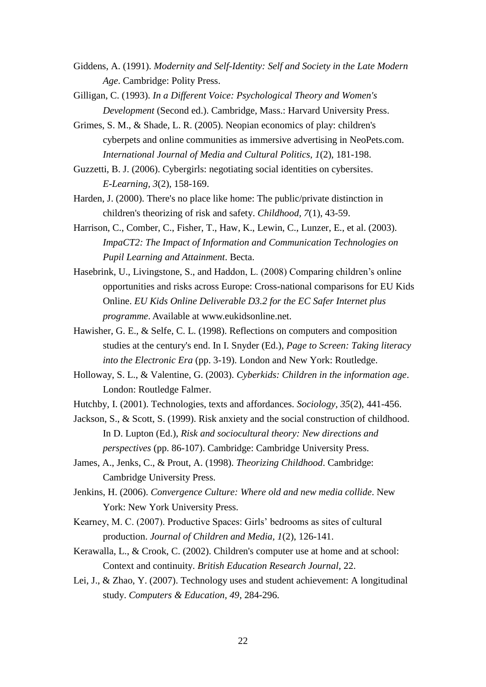- Giddens, A. (1991). *Modernity and Self-Identity: Self and Society in the Late Modern Age*. Cambridge: Polity Press.
- Gilligan, C. (1993). *In a Different Voice: Psychological Theory and Women's Development* (Second ed.). Cambridge, Mass.: Harvard University Press.
- Grimes, S. M., & Shade, L. R. (2005). Neopian economics of play: children's cyberpets and online communities as immersive advertising in NeoPets.com. *International Journal of Media and Cultural Politics, 1*(2), 181-198.
- Guzzetti, B. J. (2006). Cybergirls: negotiating social identities on cybersites. *E-Learning, 3*(2), 158-169.
- Harden, J. (2000). There's no place like home: The public/private distinction in children's theorizing of risk and safety. *Childhood, 7*(1), 43-59.
- Harrison, C., Comber, C., Fisher, T., Haw, K., Lewin, C., Lunzer, E., et al. (2003). *ImpaCT2: The Impact of Information and Communication Technologies on Pupil Learning and Attainment*. Becta.
- Hasebrink, U., Livingstone, S., and Haddon, L. (2008) Comparing children's online opportunities and risks across Europe: Cross-national comparisons for EU Kids Online. *EU Kids Online Deliverable D3.2 for the EC Safer Internet plus programme*. Available at www.eukidsonline.net.
- Hawisher, G. E., & Selfe, C. L. (1998). Reflections on computers and composition studies at the century's end. In I. Snyder (Ed.), *Page to Screen: Taking literacy into the Electronic Era* (pp. 3-19). London and New York: Routledge.
- Holloway, S. L., & Valentine, G. (2003). *Cyberkids: Children in the information age*. London: Routledge Falmer.
- Hutchby, I. (2001). Technologies, texts and affordances. *Sociology, 35*(2), 441-456.
- Jackson, S., & Scott, S. (1999). Risk anxiety and the social construction of childhood. In D. Lupton (Ed.), *Risk and sociocultural theory: New directions and perspectives* (pp. 86-107). Cambridge: Cambridge University Press.
- James, A., Jenks, C., & Prout, A. (1998). *Theorizing Childhood*. Cambridge: Cambridge University Press.
- Jenkins, H. (2006). *Convergence Culture: Where old and new media collide*. New York: New York University Press.
- Kearney, M. C. (2007). Productive Spaces: Girls' bedrooms as sites of cultural production. *Journal of Children and Media, 1*(2), 126-141.
- Kerawalla, L., & Crook, C. (2002). Children's computer use at home and at school: Context and continuity. *British Education Research Journal*, 22.
- Lei, J., & Zhao, Y. (2007). Technology uses and student achievement: A longitudinal study. *Computers & Education, 49*, 284-296.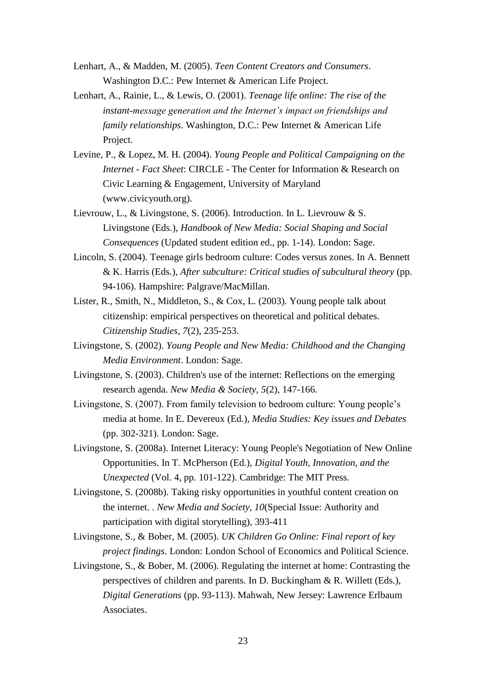- Lenhart, A., & Madden, M. (2005). *Teen Content Creators and Consumers*. Washington D.C.: Pew Internet & American Life Project.
- Lenhart, A., Rainie, L., & Lewis, O. (2001). *Teenage life online: The rise of the instant-message generation and the Internet's impact on friendships and family relationships*. Washington, D.C.: Pew Internet & American Life Project.
- Levine, P., & Lopez, M. H. (2004). *Young People and Political Campaigning on the Internet - Fact Sheet*: CIRCLE - The Center for Information & Research on Civic Learning & Engagement, University of Maryland (www.civicyouth.org).
- Lievrouw, L., & Livingstone, S. (2006). Introduction. In L. Lievrouw & S. Livingstone (Eds.), *Handbook of New Media: Social Shaping and Social Consequences* (Updated student edition ed., pp. 1-14). London: Sage.
- Lincoln, S. (2004). Teenage girls bedroom culture: Codes versus zones. In A. Bennett & K. Harris (Eds.), *After subculture: Critical studies of subcultural theory* (pp. 94-106). Hampshire: Palgrave/MacMillan.
- Lister, R., Smith, N., Middleton, S., & Cox, L. (2003). Young people talk about citizenship: empirical perspectives on theoretical and political debates. *Citizenship Studies, 7*(2), 235-253.
- Livingstone, S. (2002). *Young People and New Media: Childhood and the Changing Media Environment*. London: Sage.
- Livingstone, S. (2003). Children's use of the internet: Reflections on the emerging research agenda. *New Media & Society, 5*(2), 147-166.
- Livingstone, S. (2007). From family television to bedroom culture: Young people's media at home. In E. Devereux (Ed.), *Media Studies: Key issues and Debates*  (pp. 302-321). London: Sage.
- Livingstone, S. (2008a). Internet Literacy: Young People's Negotiation of New Online Opportunities. In T. McPherson (Ed.), *Digital Youth, Innovation, and the Unexpected* (Vol. 4, pp. 101-122). Cambridge: The MIT Press.
- Livingstone, S. (2008b). Taking risky opportunities in youthful content creation on the internet. . *New Media and Society, 10*(Special Issue: Authority and participation with digital storytelling), 393-411
- Livingstone, S., & Bober, M. (2005). *UK Children Go Online: Final report of key project findings*. London: London School of Economics and Political Science.
- Livingstone, S., & Bober, M. (2006). Regulating the internet at home: Contrasting the perspectives of children and parents. In D. Buckingham & R. Willett (Eds.), *Digital Generations* (pp. 93-113). Mahwah, New Jersey: Lawrence Erlbaum Associates.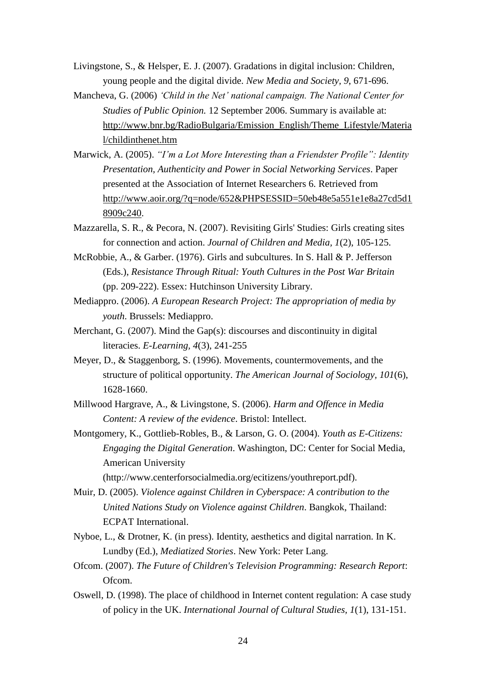Livingstone, S., & Helsper, E. J. (2007). Gradations in digital inclusion: Children, young people and the digital divide. *New Media and Society, 9*, 671-696.

- Mancheva, G. (2006) *'Child in the Net' national campaign. The National Center for Studies of Public Opinion.* 12 September 2006. Summary is available at: http://www.bnr.bg/RadioBulgaria/Emission\_English/Theme\_Lifestyle/Materia l/childinthenet.htm
- Marwick, A. (2005). *"I'm a Lot More Interesting than a Friendster Profile": Identity Presentation, Authenticity and Power in Social Networking Services*. Paper presented at the Association of Internet Researchers 6. Retrieved from http://www.aoir.org/?q=node/652&PHPSESSID=50eb48e5a551e1e8a27cd5d1 8909c240.
- Mazzarella, S. R., & Pecora, N. (2007). Revisiting Girls' Studies: Girls creating sites for connection and action. *Journal of Children and Media, 1*(2), 105-125.
- McRobbie, A., & Garber. (1976). Girls and subcultures. In S. Hall & P. Jefferson (Eds.), *Resistance Through Ritual: Youth Cultures in the Post War Britain* (pp. 209-222). Essex: Hutchinson University Library.
- Mediappro. (2006). *A European Research Project: The appropriation of media by youth*. Brussels: Mediappro.
- Merchant, G. (2007). Mind the Gap(s): discourses and discontinuity in digital literacies. *E-Learning, 4*(3), 241-255
- Meyer, D., & Staggenborg, S. (1996). Movements, countermovements, and the structure of political opportunity. *The American Journal of Sociology, 101*(6), 1628-1660.
- Millwood Hargrave, A., & Livingstone, S. (2006). *Harm and Offence in Media Content: A review of the evidence*. Bristol: Intellect.
- Montgomery, K., Gottlieb-Robles, B., & Larson, G. O. (2004). *Youth as E-Citizens: Engaging the Digital Generation*. Washington, DC: Center for Social Media, American University

(http://www.centerforsocialmedia.org/ecitizens/youthreport.pdf).

- Muir, D. (2005). *Violence against Children in Cyberspace: A contribution to the United Nations Study on Violence against Children*. Bangkok, Thailand: ECPAT International.
- Nyboe, L., & Drotner, K. (in press). Identity, aesthetics and digital narration. In K. Lundby (Ed.), *Mediatized Stories*. New York: Peter Lang.
- Ofcom. (2007). *The Future of Children's Television Programming: Research Report*: Ofcom.
- Oswell, D. (1998). The place of childhood in Internet content regulation: A case study of policy in the UK. *International Journal of Cultural Studies, 1*(1), 131-151.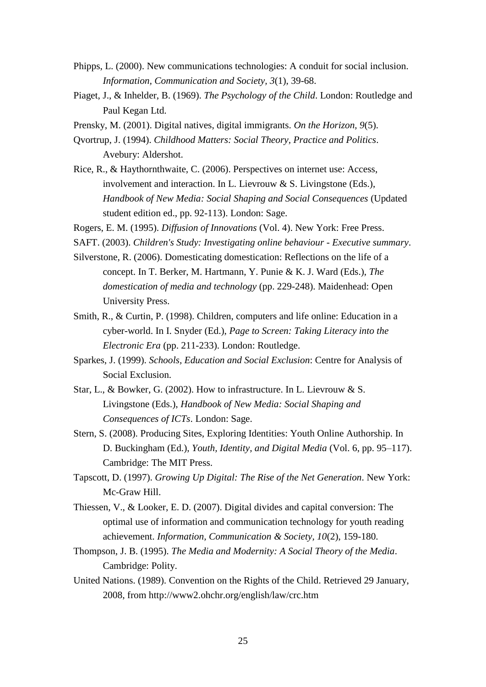- Phipps, L. (2000). New communications technologies: A conduit for social inclusion. *Information, Communication and Society, 3*(1), 39-68.
- Piaget, J., & Inhelder, B. (1969). *The Psychology of the Child*. London: Routledge and Paul Kegan Ltd.
- Prensky, M. (2001). Digital natives, digital immigrants. *On the Horizon, 9*(5).
- Qvortrup, J. (1994). *Childhood Matters: Social Theory, Practice and Politics*. Avebury: Aldershot.
- Rice, R., & Haythornthwaite, C. (2006). Perspectives on internet use: Access, involvement and interaction. In L. Lievrouw & S. Livingstone (Eds.), *Handbook of New Media: Social Shaping and Social Consequences* (Updated student edition ed., pp. 92-113). London: Sage.
- Rogers, E. M. (1995). *Diffusion of Innovations* (Vol. 4). New York: Free Press.
- SAFT. (2003). *Children's Study: Investigating online behaviour - Executive summary*.
- Silverstone, R. (2006). Domesticating domestication: Reflections on the life of a concept. In T. Berker, M. Hartmann, Y. Punie & K. J. Ward (Eds.), *The domestication of media and technology* (pp. 229-248). Maidenhead: Open University Press.
- Smith, R., & Curtin, P. (1998). Children, computers and life online: Education in a cyber-world. In I. Snyder (Ed.), *Page to Screen: Taking Literacy into the Electronic Era* (pp. 211-233). London: Routledge.
- Sparkes, J. (1999). *Schools, Education and Social Exclusion*: Centre for Analysis of Social Exclusion.
- Star, L., & Bowker, G. (2002). How to infrastructure. In L. Lievrouw & S. Livingstone (Eds.), *Handbook of New Media: Social Shaping and Consequences of ICTs*. London: Sage.
- Stern, S. (2008). Producing Sites, Exploring Identities: Youth Online Authorship. In D. Buckingham (Ed.), *Youth, Identity, and Digital Media* (Vol. 6, pp. 95–117). Cambridge: The MIT Press.
- Tapscott, D. (1997). *Growing Up Digital: The Rise of the Net Generation*. New York: Mc-Graw Hill.
- Thiessen, V., & Looker, E. D. (2007). Digital divides and capital conversion: The optimal use of information and communication technology for youth reading achievement. *Information, Communication & Society, 10*(2), 159-180.
- Thompson, J. B. (1995). *The Media and Modernity: A Social Theory of the Media*. Cambridge: Polity.
- United Nations. (1989). Convention on the Rights of the Child. Retrieved 29 January, 2008, from http://www2.ohchr.org/english/law/crc.htm